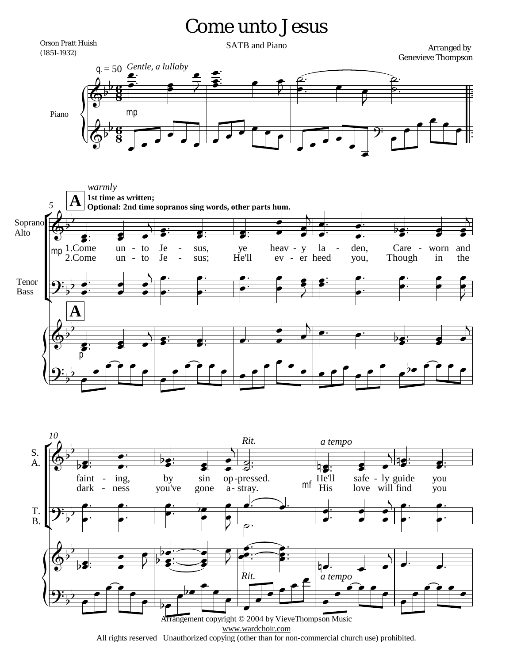## Come unto Jesus

 $\frac{1}{2}$  $\frac{1}{2}$ 

 $\frac{1}{2}$  $\frac{1}{2}$ 

 $\overline{\mathbf{g}}$ <u>tj</u><br>8  $\overline{\mathbf{g}}$ <u>ti</u><br>8 Orson Pratt Huish (1851-1932)  $q = 50$  *Gentle, a lullaby* SATB and Piano **Arranged by** Genevieve Thompson Piano  $\overline{\Phi^{\flat}}$  $\frac{1}{2}$  $\frac{1}{\rho}$ ?<br>.<br>.  $\frac{1}{\sqrt{2}}$  $\overline{\phantom{a}}$  $\overline{Z}$  $\overline{\phantom{a}}$  $\frac{2}{3}$  $\ddot{\cdot}$  $\ddot{\cdot}$  $\frac{1}{\sqrt{2}}$ ₹  $\frac{2}{\bullet}$ .  $\overline{\phantom{a}}$ <u>م.</u>  $\overline{\mathbf{f}}$ ₹  $\frac{1}{\sqrt{2}}$  $\overline{\Phi^{\flat}}$  $\frac{1}{2}$ mp  $\overline{\phantom{0}}$  $\overline{\phantom{0}}$  $\overline{\phantom{0}}$  $\overline{\bullet}$  $\overrightarrow{\cdot}$  $\overline{\phantom{a}}$  $\overline{\phantom{a}}$  $\overrightarrow{ }$  $\overline{\phantom{a}}$  $\overline{\phantom{a}}$  $\overline{\phantom{0}}$  $\overline{\phantom{0}}$ q:  $\overline{\phantom{a}}$  $\overline{\phantom{a}}$  $\overline{\phantom{0}}$  $\overline{\bullet}$  $\overline{\bullet}$  $\overline{\phantom{a}}$  $\overline{\phantom{a}}$  $\overline{\bullet}$ **A A** *5*  $\check{\mathsf{F}}$ Ľ  $\overline{\mathbb{Q}^{\flat}}$  $\frac{1}{2}$ 1.Come 2.Come Soprano Alto **1st time as written; Optional: 2nd time sopranos sing words, other parts hum.**  $\overline{\bullet}$  $\overline{\bullet}$ :  $\frac{1}{1}$ *warmly* un un  $\overrightarrow{ }$  $\overline{\bullet}$ to to - Je Je  $\overline{\phantom{a}}$  $\overline{\mathbf{N}}$  $\overrightarrow{ }$  $\frac{1}{2}$  $\frac{1}{1}$ sus, sus;  $\overline{\bullet}$  $\overline{\bullet}$ :  $\frac{1}{1}$ - ye He'll  $\overline{\bullet}$  $\overline{\bullet}$  $\frac{1}{1}$ heav - y ev er - heed  $\overline{\bullet}$  $\frac{1}{\P}$ la  $\bullet$  $\frac{1}{2}$  $\overline{A}$  $\overline{\bullet}$  $\overline{\bullet}$ .  $\frac{1}{\cdot}$ den, you,  $\overline{\phantom{a}}$ ┽  $\frac{1}{\cdot}$ - Care Though  $\overrightarrow{ }$  $\frac{1}{2}$  $\frac{1}{1}$ worn - and in  $\overrightarrow{ }$  $\overline{\bullet}$ the  $\overrightarrow{ }$  $\overline{\bullet}$  $\overline{A}$  $\mathbf{\mathcal{G}}^{\mathbf{:}}_{\flat}$ Tenor Bass mp  $\frac{1}{\epsilon}$  $\frac{1}{\bullet}$  $\frac{1}{\cdot}$  $\frac{1}{\P}$  $\frac{1}{\epsilon}$  $\frac{1}{\bullet}$  $\overline{h}_{\Gamma}$  $\overline{\bullet}$  $\frac{1}{\cdot}$  $\frac{1}{\cdot}$  $\overline{\phantom{a}}$  $\overline{\bullet}$  $\frac{1}{\sqrt{2}}$  $\frac{1}{\cdot}$  $\bullet$  $\frac{1}{\bullet}$  $\cdot$  $\frac{1}{1}$  $\overline{\phantom{a}}$  $\frac{1}{\bullet}$  $\frac{2}{\pi}$  $\bar{z}$  $\epsilon$  $\frac{1}{\cdot}$  $\frac{1}{1}$  $\overline{\phantom{a}}$  $\overline{\bullet}$  $\cdot$  $\frac{1}{1}$  $\bullet$  $\bullet$  $\frac{1}{\cdot}$  $\frac{1}{\cdot}$  $\overline{\phantom{a}}$  $\frac{2}{\epsilon}$  $\bullet$  $\bullet$  $\overline{P}$  $\overline{\Phi^{\flat}}$  $\overline{\mathbf{b}}$  $\frac{1}{p}$  $\overline{\bullet}$ :  $\overline{\phantom{a}}$  $\overrightarrow{\cdot}$  $\overline{b}$  $\overrightarrow{ }$  $\overline{\bullet}$  $\frac{1}{\epsilon}$  $\overline{\bullet}$ :  $\frac{1}{1}$  $\overrightarrow{ }$  $\frac{1}{\P}$  $\overline{\phantom{a}}$  $\overline{A}$  $\bullet$   $\bullet$   $\bullet$   $\bullet$   $\bullet$  $\overrightarrow{ }$  $\frac{1}{2}$  $\frac{1}{\sqrt{2}}$  $\overline{\phantom{0}}$  $\overline{A}$  $\overline{\mathbf{G}_{\mathbf{b}}^{\mathbf{B}}}$  $\overline{b}$  $\overline{\bullet}$  $\overline{\bullet}$  $\rho$  $\overline{\bullet}$  $\overline{\bullet}$  $\overline{\bullet}$  $\rho$  $\overline{\phantom{a}}$  $\overline{\phantom{a}}$  $\overline{\phantom{a}}$  $\overline{\phantom{a}}$  $\overrightarrow{ }$  $\bullet$  $\overline{\bullet}$  $\overline{\bullet}$  $\bullet$  $\overline{\phantom{a}}$  $\frac{1}{2}$  $\rho$ 



All rights reserved Unauthorized copying (other than for non-commercial church use) prohibited.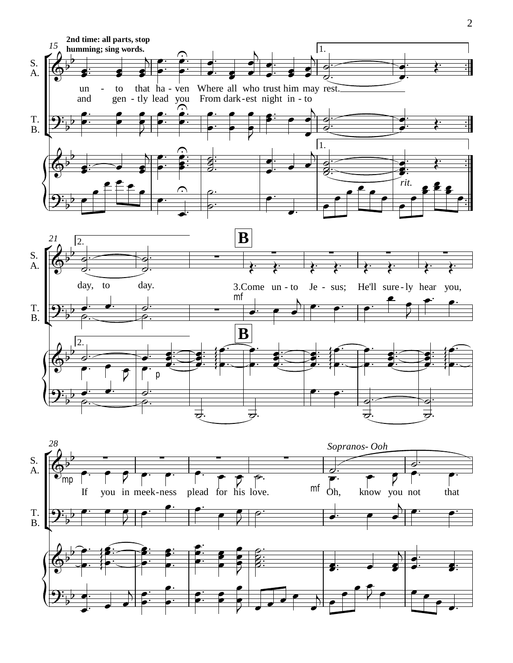

 $\mathbf{\mathcal{G}}^{\mathbf{\cdot}}_{\mathbf{\flat}}$  $\overline{b}$ 

 $\overline{\phantom{a}}$  $\frac{1}{\bullet}$ 

 $\frac{1}{1}$ 

 $\overline{\phantom{a}}$  $\bullet$ 

 $\frac{1}{1}$ 

 $\overline{\bullet}$ 

 $\frac{1}{1}$ 

 $\overline{\bullet}$  $\bullet$ 

 $\frac{1}{1}$ 

 $\overline{\bullet}$  $\bullet$ 

 $\overline{\bullet}$ **2 J**   $\overline{\phantom{0}}$  $\overline{\phantom{a}}$  $\overline{\bullet}$ 

 $\overline{\phantom{0}}$  $\overline{\phantom{a}}$   $\overline{\bullet}$ 

 $\overline{\bullet}$  $\downarrow$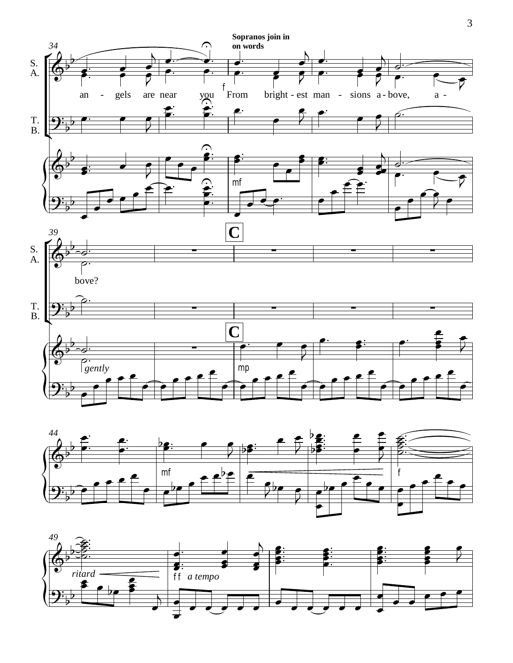